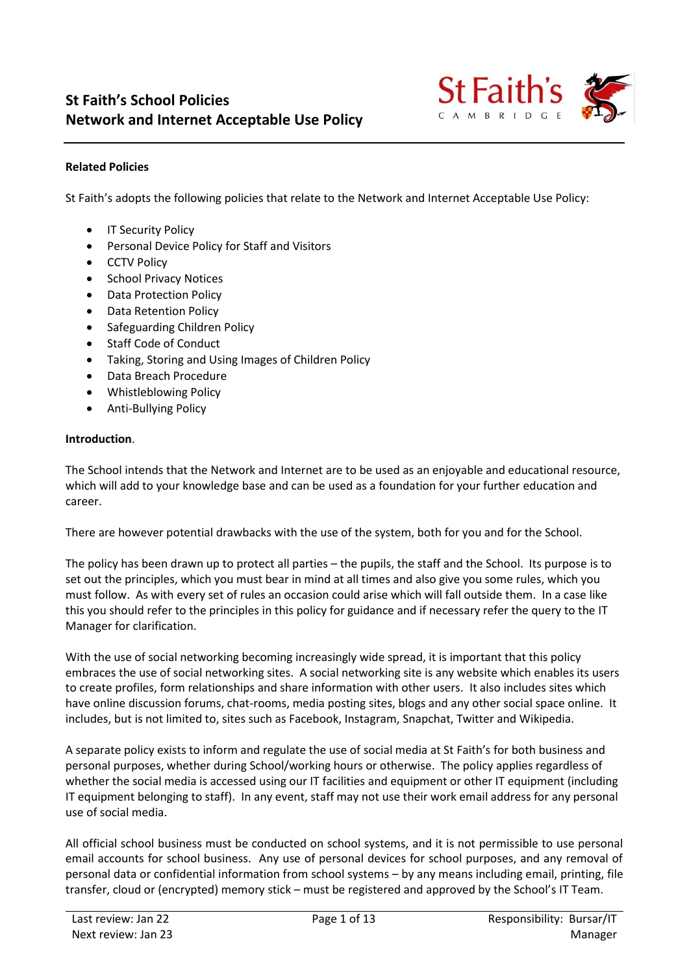

### **Related Policies**

St Faith's adopts the following policies that relate to the Network and Internet Acceptable Use Policy:

- IT Security Policy
- Personal Device Policy for Staff and Visitors
- CCTV Policy
- School Privacy Notices
- Data Protection Policy
- Data Retention Policy
- Safeguarding Children Policy
- Staff Code of Conduct
- Taking, Storing and Using Images of Children Policy
- Data Breach Procedure
- Whistleblowing Policy
- Anti-Bullying Policy

### **Introduction**.

The School intends that the Network and Internet are to be used as an enjoyable and educational resource, which will add to your knowledge base and can be used as a foundation for your further education and career.

There are however potential drawbacks with the use of the system, both for you and for the School.

The policy has been drawn up to protect all parties – the pupils, the staff and the School. Its purpose is to set out the principles, which you must bear in mind at all times and also give you some rules, which you must follow. As with every set of rules an occasion could arise which will fall outside them. In a case like this you should refer to the principles in this policy for guidance and if necessary refer the query to the IT Manager for clarification.

With the use of social networking becoming increasingly wide spread, it is important that this policy embraces the use of social networking sites. A social networking site is any website which enables its users to create profiles, form relationships and share information with other users. It also includes sites which have online discussion forums, chat-rooms, media posting sites, blogs and any other social space online. It includes, but is not limited to, sites such as Facebook, Instagram, Snapchat, Twitter and Wikipedia.

A separate policy exists to inform and regulate the use of social media at St Faith's for both business and personal purposes, whether during School/working hours or otherwise. The policy applies regardless of whether the social media is accessed using our IT facilities and equipment or other IT equipment (including IT equipment belonging to staff). In any event, staff may not use their work email address for any personal use of social media.

All official school business must be conducted on school systems, and it is not permissible to use personal email accounts for school business. Any use of personal devices for school purposes, and any removal of personal data or confidential information from school systems – by any means including email, printing, file transfer, cloud or (encrypted) memory stick – must be registered and approved by the School's IT Team.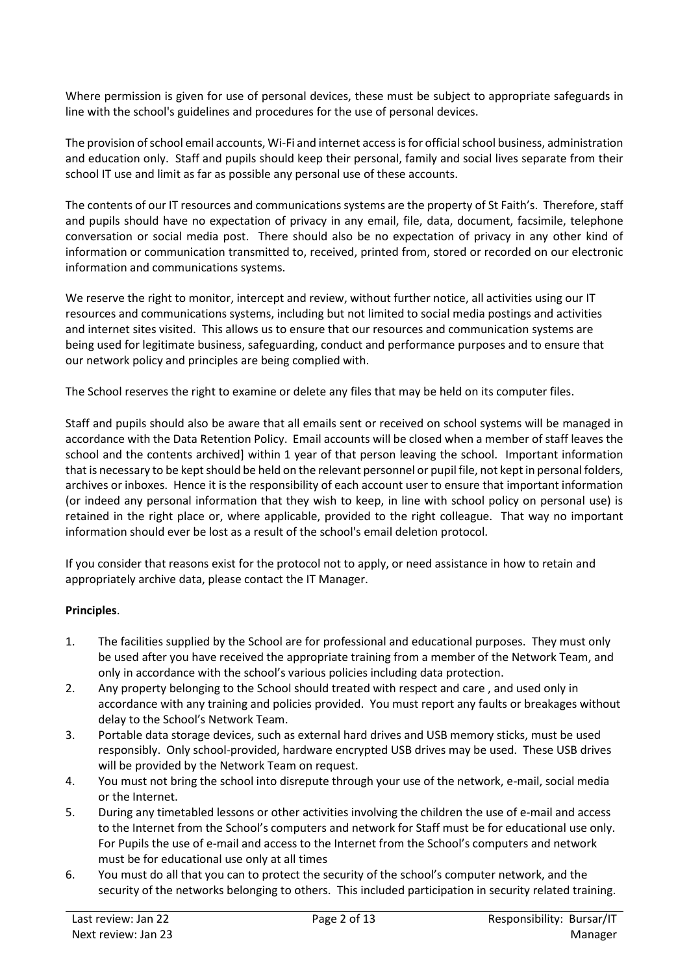Where permission is given for use of personal devices, these must be subject to appropriate safeguards in line with the school's guidelines and procedures for the use of personal devices.

The provision of school email accounts, Wi-Fi and internet access is for official school business, administration and education only. Staff and pupils should keep their personal, family and social lives separate from their school IT use and limit as far as possible any personal use of these accounts.

The contents of our IT resources and communications systems are the property of St Faith's. Therefore, staff and pupils should have no expectation of privacy in any email, file, data, document, facsimile, telephone conversation or social media post. There should also be no expectation of privacy in any other kind of information or communication transmitted to, received, printed from, stored or recorded on our electronic information and communications systems.

We reserve the right to monitor, intercept and review, without further notice, all activities using our IT resources and communications systems, including but not limited to social media postings and activities and internet sites visited. This allows us to ensure that our resources and communication systems are being used for legitimate business, safeguarding, conduct and performance purposes and to ensure that our network policy and principles are being complied with.

The School reserves the right to examine or delete any files that may be held on its computer files.

Staff and pupils should also be aware that all emails sent or received on school systems will be managed in accordance with the Data Retention Policy. Email accounts will be closed when a member of staff leaves the school and the contents archived] within 1 year of that person leaving the school. Important information that is necessary to be kept should be held on the relevant personnel or pupil file, not kept in personal folders, archives or inboxes. Hence it is the responsibility of each account user to ensure that important information (or indeed any personal information that they wish to keep, in line with school policy on personal use) is retained in the right place or, where applicable, provided to the right colleague. That way no important information should ever be lost as a result of the school's email deletion protocol.

If you consider that reasons exist for the protocol not to apply, or need assistance in how to retain and appropriately archive data, please contact the IT Manager.

## **Principles**.

- 1. The facilities supplied by the School are for professional and educational purposes. They must only be used after you have received the appropriate training from a member of the Network Team, and only in accordance with the school's various policies including data protection.
- 2. Any property belonging to the School should treated with respect and care , and used only in accordance with any training and policies provided. You must report any faults or breakages without delay to the School's Network Team.
- 3. Portable data storage devices, such as external hard drives and USB memory sticks, must be used responsibly. Only school-provided, hardware encrypted USB drives may be used. These USB drives will be provided by the Network Team on request.
- 4. You must not bring the school into disrepute through your use of the network, e-mail, social media or the Internet.
- 5. During any timetabled lessons or other activities involving the children the use of e-mail and access to the Internet from the School's computers and network for Staff must be for educational use only. For Pupils the use of e-mail and access to the Internet from the School's computers and network must be for educational use only at all times
- 6. You must do all that you can to protect the security of the school's computer network, and the security of the networks belonging to others. This included participation in security related training.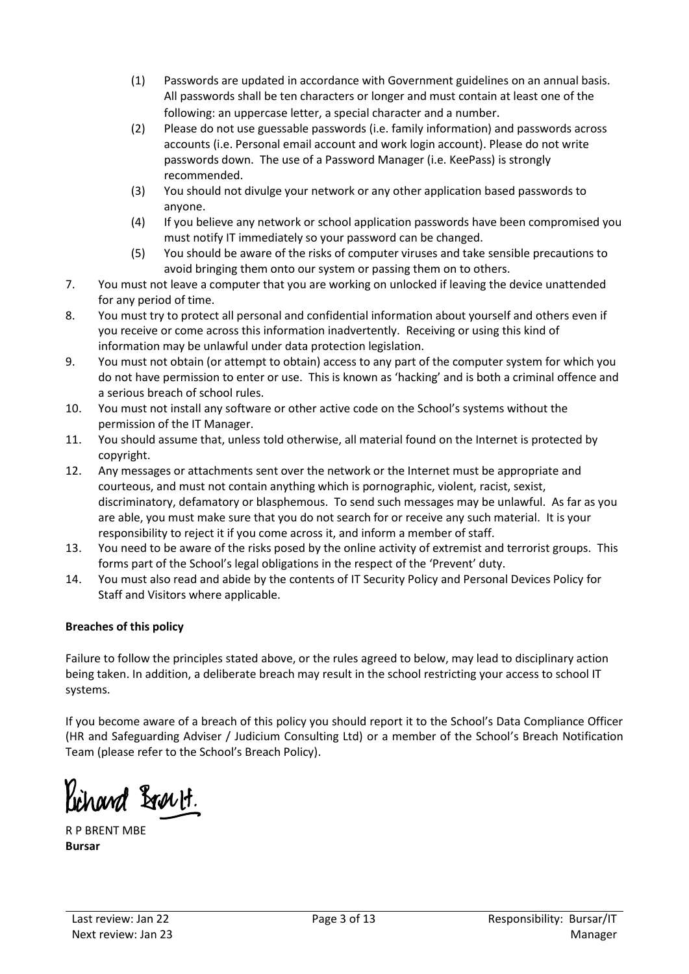- (1) Passwords are updated in accordance with Government guidelines on an annual basis. All passwords shall be ten characters or longer and must contain at least one of the following: an uppercase letter, a special character and a number.
- (2) Please do not use guessable passwords (i.e. family information) and passwords across accounts (i.e. Personal email account and work login account). Please do not write passwords down. The use of a Password Manager (i.e. KeePass) is strongly recommended.
- (3) You should not divulge your network or any other application based passwords to anyone.
- (4) If you believe any network or school application passwords have been compromised you must notify IT immediately so your password can be changed.
- (5) You should be aware of the risks of computer viruses and take sensible precautions to avoid bringing them onto our system or passing them on to others.
- 7. You must not leave a computer that you are working on unlocked if leaving the device unattended for any period of time.
- 8. You must try to protect all personal and confidential information about yourself and others even if you receive or come across this information inadvertently. Receiving or using this kind of information may be unlawful under data protection legislation.
- 9. You must not obtain (or attempt to obtain) access to any part of the computer system for which you do not have permission to enter or use. This is known as 'hacking' and is both a criminal offence and a serious breach of school rules.
- 10. You must not install any software or other active code on the School's systems without the permission of the IT Manager.
- 11. You should assume that, unless told otherwise, all material found on the Internet is protected by copyright.
- 12. Any messages or attachments sent over the network or the Internet must be appropriate and courteous, and must not contain anything which is pornographic, violent, racist, sexist, discriminatory, defamatory or blasphemous. To send such messages may be unlawful. As far as you are able, you must make sure that you do not search for or receive any such material. It is your responsibility to reject it if you come across it, and inform a member of staff.
- 13. You need to be aware of the risks posed by the online activity of extremist and terrorist groups. This forms part of the School's legal obligations in the respect of the 'Prevent' duty.
- 14. You must also read and abide by the contents of IT Security Policy and Personal Devices Policy for Staff and Visitors where applicable.

## **Breaches of this policy**

Failure to follow the principles stated above, or the rules agreed to below, may lead to disciplinary action being taken. In addition, a deliberate breach may result in the school restricting your access to school IT systems.

If you become aware of a breach of this policy you should report it to the School's Data Compliance Officer (HR and Safeguarding Adviser / Judicium Consulting Ltd) or a member of the School's Breach Notification Team (please refer to the School's Breach Policy).

lichand Brackt.

R P BRENT MBE **Bursar**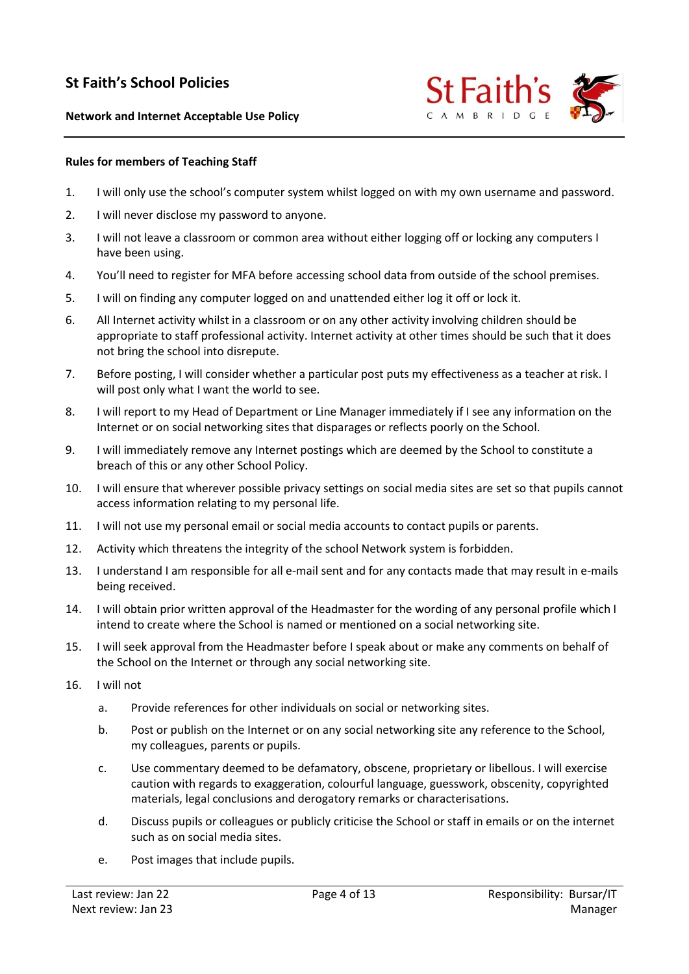

### **Network and Internet Acceptable Use Policy**

### **Rules for members of Teaching Staff**

- 1. I will only use the school's computer system whilst logged on with my own username and password.
- 2. I will never disclose my password to anyone.
- 3. I will not leave a classroom or common area without either logging off or locking any computers I have been using.
- 4. You'll need to register for MFA before accessing school data from outside of the school premises.
- 5. I will on finding any computer logged on and unattended either log it off or lock it.
- 6. All Internet activity whilst in a classroom or on any other activity involving children should be appropriate to staff professional activity. Internet activity at other times should be such that it does not bring the school into disrepute.
- 7. Before posting, I will consider whether a particular post puts my effectiveness as a teacher at risk. I will post only what I want the world to see.
- 8. I will report to my Head of Department or Line Manager immediately if I see any information on the Internet or on social networking sites that disparages or reflects poorly on the School.
- 9. I will immediately remove any Internet postings which are deemed by the School to constitute a breach of this or any other School Policy.
- 10. I will ensure that wherever possible privacy settings on social media sites are set so that pupils cannot access information relating to my personal life.
- 11. I will not use my personal email or social media accounts to contact pupils or parents.
- 12. Activity which threatens the integrity of the school Network system is forbidden.
- 13. I understand I am responsible for all e-mail sent and for any contacts made that may result in e-mails being received.
- 14. I will obtain prior written approval of the Headmaster for the wording of any personal profile which I intend to create where the School is named or mentioned on a social networking site.
- 15. I will seek approval from the Headmaster before I speak about or make any comments on behalf of the School on the Internet or through any social networking site.
- 16. I will not
	- a. Provide references for other individuals on social or networking sites.
	- b. Post or publish on the Internet or on any social networking site any reference to the School, my colleagues, parents or pupils.
	- c. Use commentary deemed to be defamatory, obscene, proprietary or libellous. I will exercise caution with regards to exaggeration, colourful language, guesswork, obscenity, copyrighted materials, legal conclusions and derogatory remarks or characterisations.
	- d. Discuss pupils or colleagues or publicly criticise the School or staff in emails or on the internet such as on social media sites.
	- e. Post images that include pupils.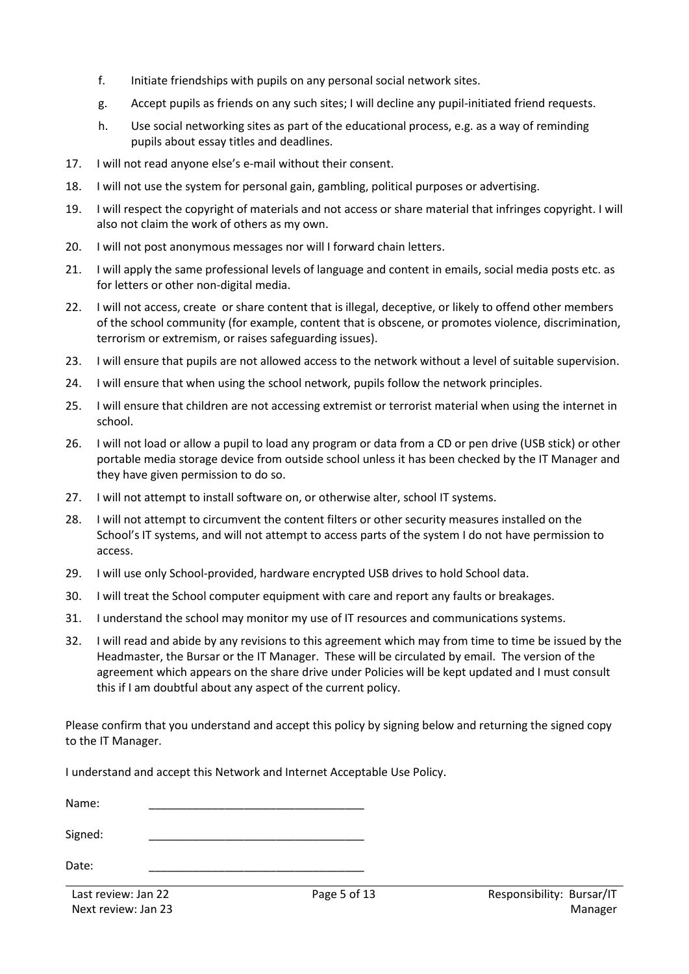- f. Initiate friendships with pupils on any personal social network sites.
- g. Accept pupils as friends on any such sites; I will decline any pupil-initiated friend requests.
- h. Use social networking sites as part of the educational process, e.g. as a way of reminding pupils about essay titles and deadlines.
- 17. I will not read anyone else's e-mail without their consent.
- 18. I will not use the system for personal gain, gambling, political purposes or advertising.
- 19. I will respect the copyright of materials and not access or share material that infringes copyright. I will also not claim the work of others as my own.
- 20. I will not post anonymous messages nor will I forward chain letters.
- 21. I will apply the same professional levels of language and content in emails, social media posts etc. as for letters or other non-digital media.
- 22. I will not access, create or share content that is illegal, deceptive, or likely to offend other members of the school community (for example, content that is obscene, or promotes violence, discrimination, terrorism or extremism, or raises safeguarding issues).
- 23. I will ensure that pupils are not allowed access to the network without a level of suitable supervision.
- 24. I will ensure that when using the school network, pupils follow the network principles.
- 25. I will ensure that children are not accessing extremist or terrorist material when using the internet in school.
- 26. I will not load or allow a pupil to load any program or data from a CD or pen drive (USB stick) or other portable media storage device from outside school unless it has been checked by the IT Manager and they have given permission to do so.
- 27. I will not attempt to install software on, or otherwise alter, school IT systems.
- 28. I will not attempt to circumvent the content filters or other security measures installed on the School's IT systems, and will not attempt to access parts of the system I do not have permission to access.
- 29. I will use only School-provided, hardware encrypted USB drives to hold School data.
- 30. I will treat the School computer equipment with care and report any faults or breakages.
- 31. I understand the school may monitor my use of IT resources and communications systems.
- 32. I will read and abide by any revisions to this agreement which may from time to time be issued by the Headmaster, the Bursar or the IT Manager. These will be circulated by email. The version of the agreement which appears on the share drive under Policies will be kept updated and I must consult this if I am doubtful about any aspect of the current policy.

Please confirm that you understand and accept this policy by signing below and returning the signed copy to the IT Manager.

I understand and accept this Network and Internet Acceptable Use Policy.

| Name:   |  |
|---------|--|
| Signed: |  |

| Date: |  |  |  |
|-------|--|--|--|
|       |  |  |  |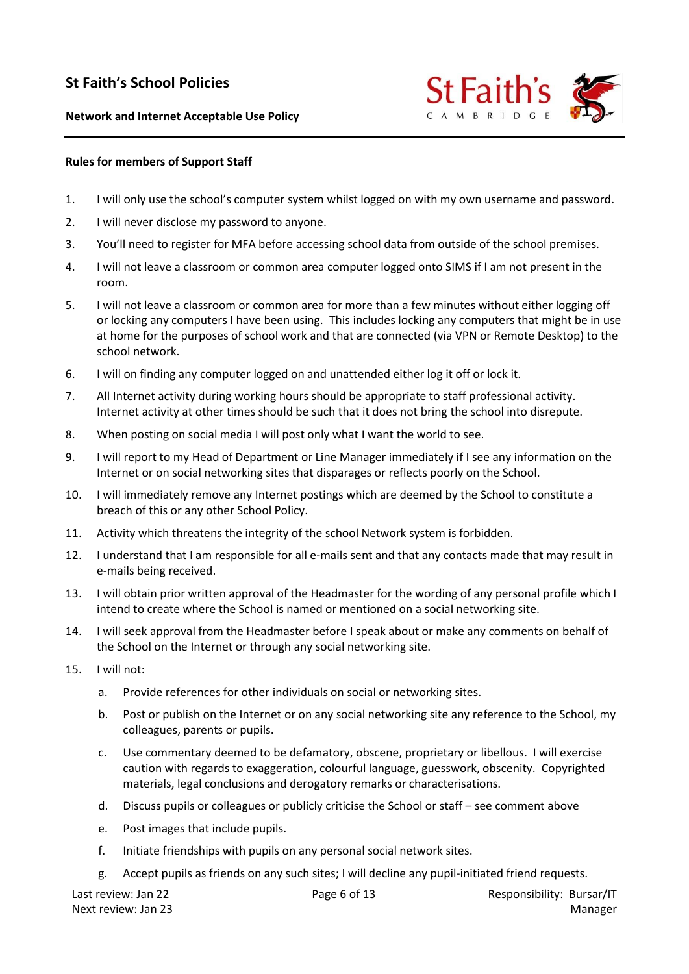**Network and Internet Acceptable Use Policy**



### **Rules for members of Support Staff**

- 1. I will only use the school's computer system whilst logged on with my own username and password.
- 2. I will never disclose my password to anyone.
- 3. You'll need to register for MFA before accessing school data from outside of the school premises.
- 4. I will not leave a classroom or common area computer logged onto SIMS if I am not present in the room.
- 5. I will not leave a classroom or common area for more than a few minutes without either logging off or locking any computers I have been using. This includes locking any computers that might be in use at home for the purposes of school work and that are connected (via VPN or Remote Desktop) to the school network.
- 6. I will on finding any computer logged on and unattended either log it off or lock it.
- 7. All Internet activity during working hours should be appropriate to staff professional activity. Internet activity at other times should be such that it does not bring the school into disrepute.
- 8. When posting on social media I will post only what I want the world to see.
- 9. I will report to my Head of Department or Line Manager immediately if I see any information on the Internet or on social networking sites that disparages or reflects poorly on the School.
- 10. I will immediately remove any Internet postings which are deemed by the School to constitute a breach of this or any other School Policy.
- 11. Activity which threatens the integrity of the school Network system is forbidden.
- 12. I understand that I am responsible for all e-mails sent and that any contacts made that may result in e-mails being received.
- 13. I will obtain prior written approval of the Headmaster for the wording of any personal profile which I intend to create where the School is named or mentioned on a social networking site.
- 14. I will seek approval from the Headmaster before I speak about or make any comments on behalf of the School on the Internet or through any social networking site.
- 15. I will not:
	- a. Provide references for other individuals on social or networking sites.
	- b. Post or publish on the Internet or on any social networking site any reference to the School, my colleagues, parents or pupils.
	- c. Use commentary deemed to be defamatory, obscene, proprietary or libellous. I will exercise caution with regards to exaggeration, colourful language, guesswork, obscenity. Copyrighted materials, legal conclusions and derogatory remarks or characterisations.
	- d. Discuss pupils or colleagues or publicly criticise the School or staff see comment above
	- e. Post images that include pupils.
	- f. Initiate friendships with pupils on any personal social network sites.
	- g. Accept pupils as friends on any such sites; I will decline any pupil-initiated friend requests.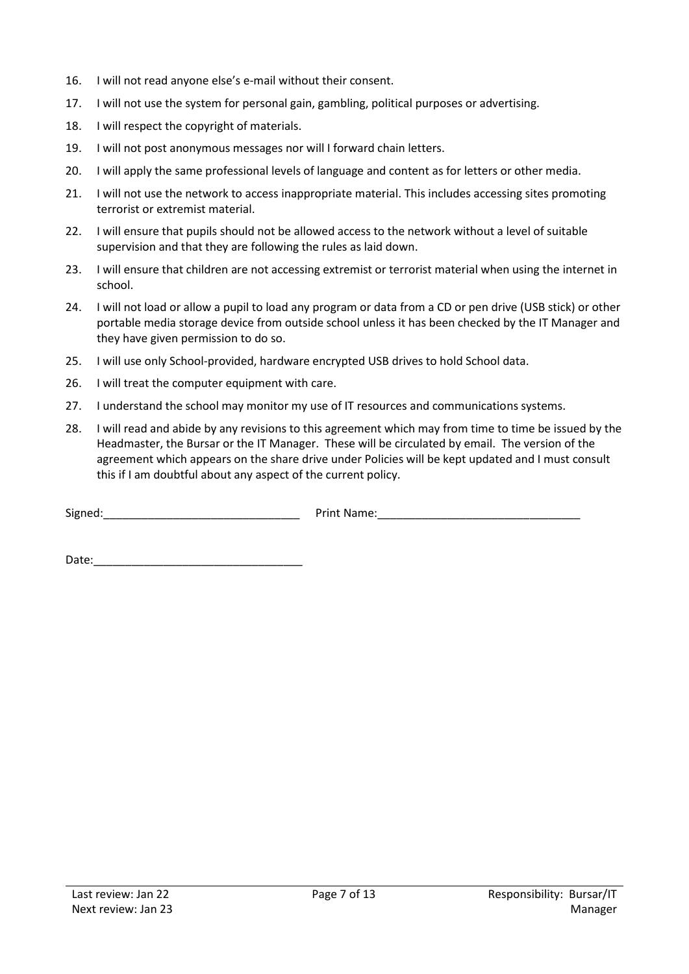- 16. I will not read anyone else's e-mail without their consent.
- 17. I will not use the system for personal gain, gambling, political purposes or advertising.
- 18. I will respect the copyright of materials.
- 19. I will not post anonymous messages nor will I forward chain letters.
- 20. I will apply the same professional levels of language and content as for letters or other media.
- 21. I will not use the network to access inappropriate material. This includes accessing sites promoting terrorist or extremist material.
- 22. I will ensure that pupils should not be allowed access to the network without a level of suitable supervision and that they are following the rules as laid down.
- 23. I will ensure that children are not accessing extremist or terrorist material when using the internet in school.
- 24. I will not load or allow a pupil to load any program or data from a CD or pen drive (USB stick) or other portable media storage device from outside school unless it has been checked by the IT Manager and they have given permission to do so.
- 25. I will use only School-provided, hardware encrypted USB drives to hold School data.
- 26. I will treat the computer equipment with care.
- 27. I understand the school may monitor my use of IT resources and communications systems.
- 28. I will read and abide by any revisions to this agreement which may from time to time be issued by the Headmaster, the Bursar or the IT Manager. These will be circulated by email. The version of the agreement which appears on the share drive under Policies will be kept updated and I must consult this if I am doubtful about any aspect of the current policy.

Signed: The contract of the contract of the Print Name:

Date:\_\_\_\_\_\_\_\_\_\_\_\_\_\_\_\_\_\_\_\_\_\_\_\_\_\_\_\_\_\_\_\_\_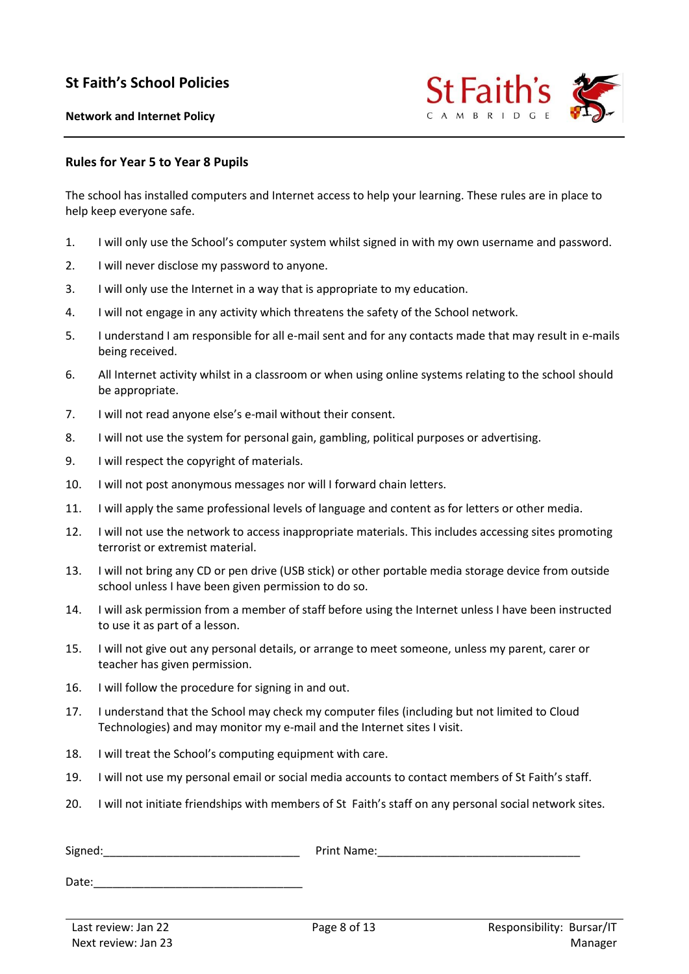**Network and Internet Policy**



### **Rules for Year 5 to Year 8 Pupils**

The school has installed computers and Internet access to help your learning. These rules are in place to help keep everyone safe.

- 1. I will only use the School's computer system whilst signed in with my own username and password.
- 2. I will never disclose my password to anyone.
- 3. I will only use the Internet in a way that is appropriate to my education.
- 4. I will not engage in any activity which threatens the safety of the School network.
- 5. I understand I am responsible for all e-mail sent and for any contacts made that may result in e-mails being received.
- 6. All Internet activity whilst in a classroom or when using online systems relating to the school should be appropriate.
- 7. I will not read anyone else's e-mail without their consent.
- 8. I will not use the system for personal gain, gambling, political purposes or advertising.
- 9. I will respect the copyright of materials.
- 10. I will not post anonymous messages nor will I forward chain letters.
- 11. I will apply the same professional levels of language and content as for letters or other media.
- 12. I will not use the network to access inappropriate materials. This includes accessing sites promoting terrorist or extremist material.
- 13. I will not bring any CD or pen drive (USB stick) or other portable media storage device from outside school unless I have been given permission to do so.
- 14. I will ask permission from a member of staff before using the Internet unless I have been instructed to use it as part of a lesson.
- 15. I will not give out any personal details, or arrange to meet someone, unless my parent, carer or teacher has given permission.
- 16. I will follow the procedure for signing in and out.
- 17. I understand that the School may check my computer files (including but not limited to Cloud Technologies) and may monitor my e-mail and the Internet sites I visit.
- 18. I will treat the School's computing equipment with care.
- 19. I will not use my personal email or social media accounts to contact members of St Faith's staff.
- 20. I will not initiate friendships with members of St Faith's staff on any personal social network sites.

| Signed: | Print Name: |
|---------|-------------|
|         |             |

Date: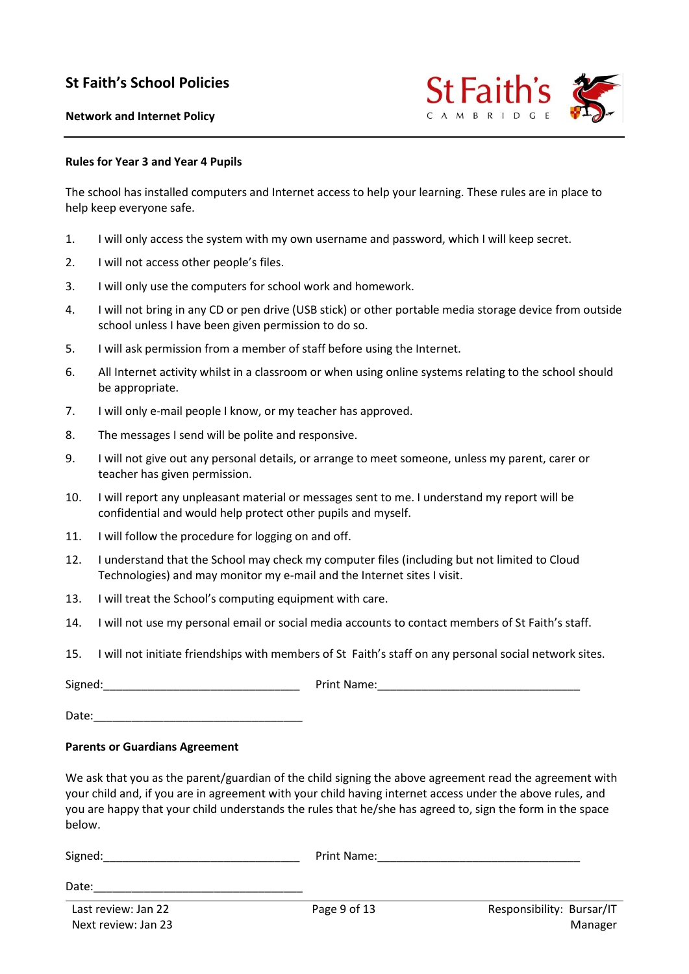**Network and Internet Policy**



### **Rules for Year 3 and Year 4 Pupils**

The school has installed computers and Internet access to help your learning. These rules are in place to help keep everyone safe.

- 1. I will only access the system with my own username and password, which I will keep secret.
- 2. I will not access other people's files.
- 3. I will only use the computers for school work and homework.
- 4. I will not bring in any CD or pen drive (USB stick) or other portable media storage device from outside school unless I have been given permission to do so.
- 5. I will ask permission from a member of staff before using the Internet.
- 6. All Internet activity whilst in a classroom or when using online systems relating to the school should be appropriate.
- 7. I will only e-mail people I know, or my teacher has approved.
- 8. The messages I send will be polite and responsive.
- 9. I will not give out any personal details, or arrange to meet someone, unless my parent, carer or teacher has given permission.
- 10. I will report any unpleasant material or messages sent to me. I understand my report will be confidential and would help protect other pupils and myself.
- 11. I will follow the procedure for logging on and off.
- 12. I understand that the School may check my computer files (including but not limited to Cloud Technologies) and may monitor my e-mail and the Internet sites I visit.
- 13. I will treat the School's computing equipment with care.
- 14. I will not use my personal email or social media accounts to contact members of St Faith's staff.
- 15. I will not initiate friendships with members of St Faith's staff on any personal social network sites.

Signed:\_\_\_\_\_\_\_\_\_\_\_\_\_\_\_\_\_\_\_\_\_\_\_\_\_\_\_\_\_\_\_ Print Name:\_\_\_\_\_\_\_\_\_\_\_\_\_\_\_\_\_\_\_\_\_\_\_\_\_\_\_\_\_\_\_\_

Date:

### **Parents or Guardians Agreement**

We ask that you as the parent/guardian of the child signing the above agreement read the agreement with your child and, if you are in agreement with your child having internet access under the above rules, and you are happy that your child understands the rules that he/she has agreed to, sign the form in the space below.

| <b>DEIUW.</b>                              |              |                                      |
|--------------------------------------------|--------------|--------------------------------------|
| Signed:                                    | Print Name:  |                                      |
| Date:                                      |              |                                      |
| Last review: Jan 22<br>Next review: Jan 23 | Page 9 of 13 | Responsibility: Bursar/IT<br>Manager |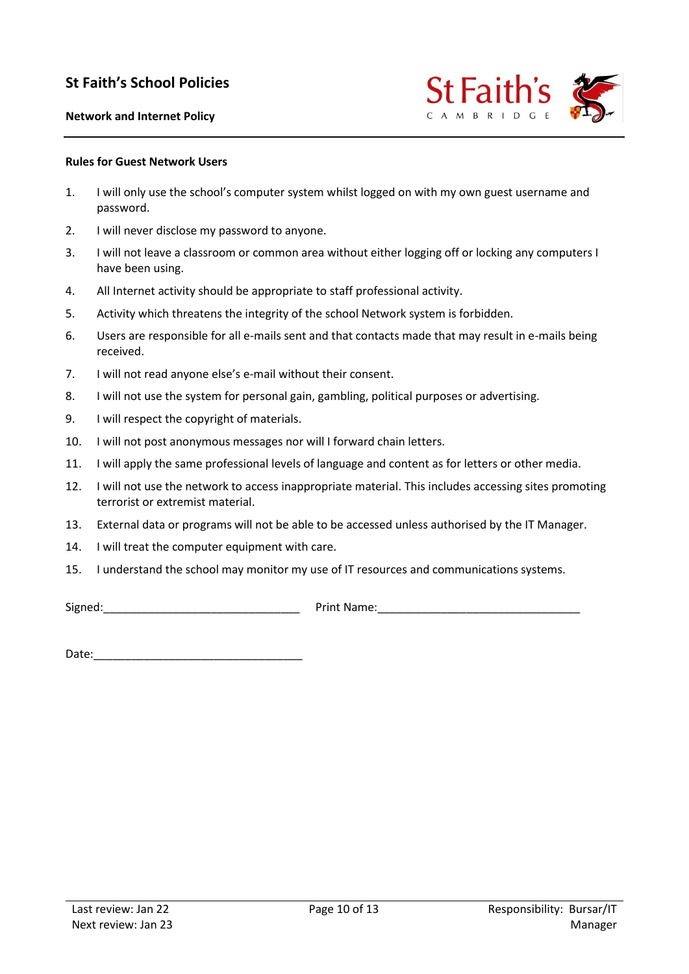

### **Rules for Guest Network Users**

- 1. I will only use the school's computer system whilst logged on with my own guest username and password.
- 2. I will never disclose my password to anyone.
- 3. I will not leave a classroom or common area without either logging off or locking any computers I have been using.
- 4. All Internet activity should be appropriate to staff professional activity.
- 5. Activity which threatens the integrity of the school Network system is forbidden.
- 6. Users are responsible for all e-mails sent and that contacts made that may result in e-mails being received.
- 7. I will not read anyone else's e-mail without their consent.
- 8. I will not use the system for personal gain, gambling, political purposes or advertising.
- 9. I will respect the copyright of materials.
- 10. I will not post anonymous messages nor will I forward chain letters.
- 11. I will apply the same professional levels of language and content as for letters or other media.
- 12. I will not use the network to access inappropriate material. This includes accessing sites promoting terrorist or extremist material.
- 13. External data or programs will not be able to be accessed unless authorised by the IT Manager.
- 14. I will treat the computer equipment with care.
- 15. I understand the school may monitor my use of IT resources and communications systems.

Signed: The Communication of the Communication of Print Name:

Date:\_\_\_\_\_\_\_\_\_\_\_\_\_\_\_\_\_\_\_\_\_\_\_\_\_\_\_\_\_\_\_\_\_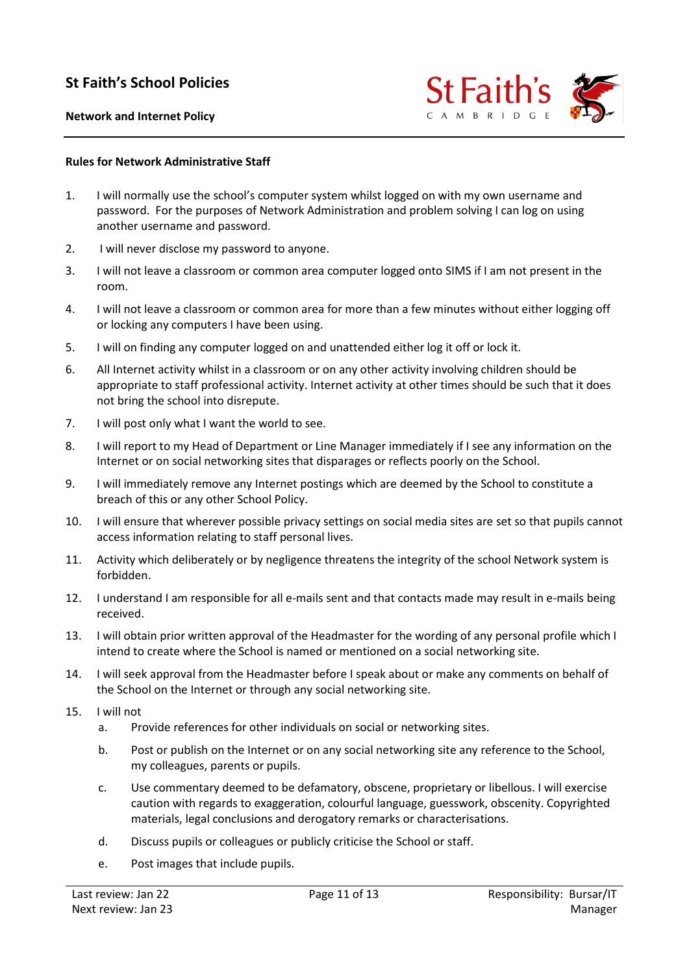**Network and Internet Policy**



### **Rules for Network Administrative Staff**

- 1. I will normally use the school's computer system whilst logged on with my own username and password. For the purposes of Network Administration and problem solving I can log on using another username and password.
- 2. I will never disclose my password to anyone.
- 3. I will not leave a classroom or common area computer logged onto SIMS if I am not present in the room.
- 4. I will not leave a classroom or common area for more than a few minutes without either logging off or locking any computers I have been using.
- 5. I will on finding any computer logged on and unattended either log it off or lock it.
- 6. All Internet activity whilst in a classroom or on any other activity involving children should be appropriate to staff professional activity. Internet activity at other times should be such that it does not bring the school into disrepute.
- 7. I will post only what I want the world to see.
- 8. I will report to my Head of Department or Line Manager immediately if I see any information on the Internet or on social networking sites that disparages or reflects poorly on the School.
- 9. I will immediately remove any Internet postings which are deemed by the School to constitute a breach of this or any other School Policy.
- 10. I will ensure that wherever possible privacy settings on social media sites are set so that pupils cannot access information relating to staff personal lives.
- 11. Activity which deliberately or by negligence threatens the integrity of the school Network system is forbidden.
- 12. I understand I am responsible for all e-mails sent and that contacts made may result in e-mails being received.
- 13. I will obtain prior written approval of the Headmaster for the wording of any personal profile which I intend to create where the School is named or mentioned on a social networking site.
- 14. I will seek approval from the Headmaster before I speak about or make any comments on behalf of the School on the Internet or through any social networking site.
- 15. I will not
	- a. Provide references for other individuals on social or networking sites.
	- b. Post or publish on the Internet or on any social networking site any reference to the School, my colleagues, parents or pupils.
	- c. Use commentary deemed to be defamatory, obscene, proprietary or libellous. I will exercise caution with regards to exaggeration, colourful language, guesswork, obscenity. Copyrighted materials, legal conclusions and derogatory remarks or characterisations.
	- d. Discuss pupils or colleagues or publicly criticise the School or staff.
	- e. Post images that include pupils.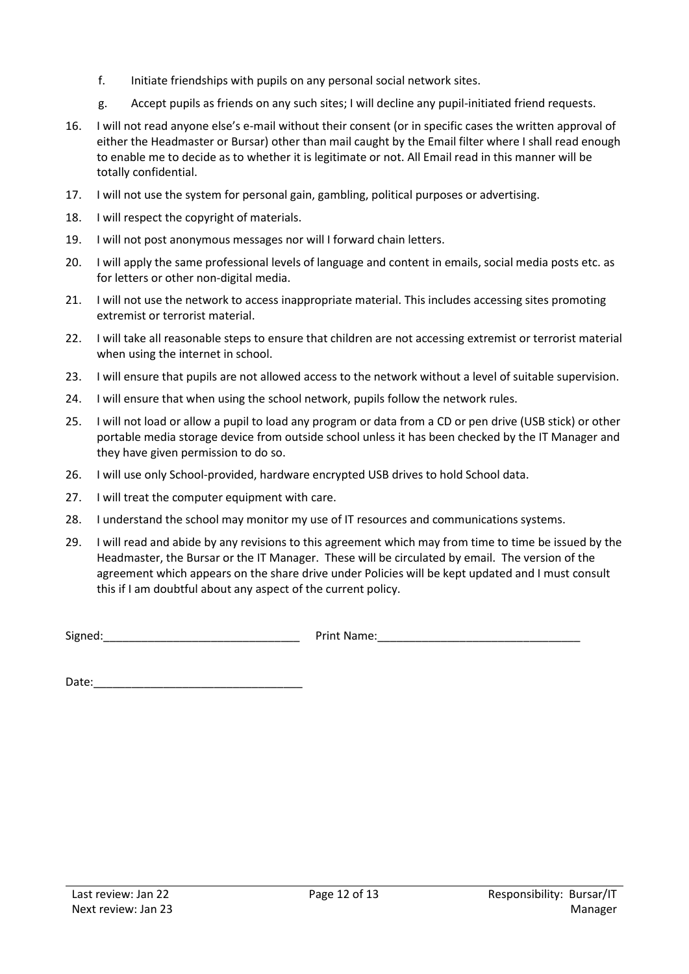- f. Initiate friendships with pupils on any personal social network sites.
- g. Accept pupils as friends on any such sites; I will decline any pupil-initiated friend requests.
- 16. I will not read anyone else's e-mail without their consent (or in specific cases the written approval of either the Headmaster or Bursar) other than mail caught by the Email filter where I shall read enough to enable me to decide as to whether it is legitimate or not. All Email read in this manner will be totally confidential.
- 17. I will not use the system for personal gain, gambling, political purposes or advertising.
- 18. I will respect the copyright of materials.
- 19. I will not post anonymous messages nor will I forward chain letters.
- 20. I will apply the same professional levels of language and content in emails, social media posts etc. as for letters or other non-digital media.
- 21. I will not use the network to access inappropriate material. This includes accessing sites promoting extremist or terrorist material.
- 22. I will take all reasonable steps to ensure that children are not accessing extremist or terrorist material when using the internet in school.
- 23. I will ensure that pupils are not allowed access to the network without a level of suitable supervision.
- 24. I will ensure that when using the school network, pupils follow the network rules.
- 25. I will not load or allow a pupil to load any program or data from a CD or pen drive (USB stick) or other portable media storage device from outside school unless it has been checked by the IT Manager and they have given permission to do so.
- 26. I will use only School-provided, hardware encrypted USB drives to hold School data.
- 27. I will treat the computer equipment with care.
- 28. I understand the school may monitor my use of IT resources and communications systems.
- 29. I will read and abide by any revisions to this agreement which may from time to time be issued by the Headmaster, the Bursar or the IT Manager. These will be circulated by email. The version of the agreement which appears on the share drive under Policies will be kept updated and I must consult this if I am doubtful about any aspect of the current policy.

Signed:\_\_\_\_\_\_\_\_\_\_\_\_\_\_\_\_\_\_\_\_\_\_\_\_\_\_\_\_\_\_\_ Print Name:\_\_\_\_\_\_\_\_\_\_\_\_\_\_\_\_\_\_\_\_\_\_\_\_\_\_\_\_\_\_\_\_

Date:\_\_\_\_\_\_\_\_\_\_\_\_\_\_\_\_\_\_\_\_\_\_\_\_\_\_\_\_\_\_\_\_\_